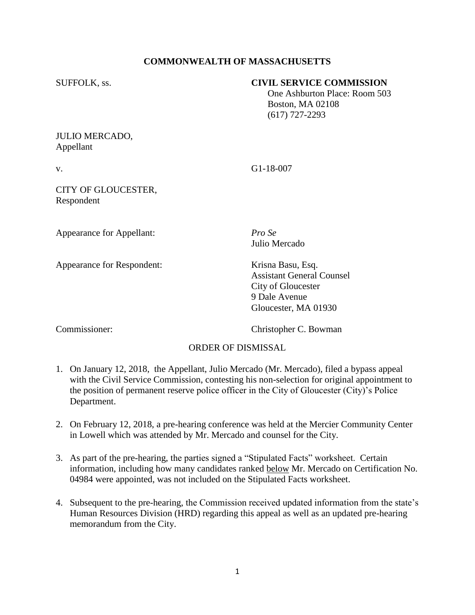## **COMMONWEALTH OF MASSACHUSETTS**

#### SUFFOLK, ss. **CIVIL SERVICE COMMISSION**

 One Ashburton Place: Room 503 Boston, MA 02108 (617) 727-2293

# JULIO MERCADO, Appellant

v. G1-18-007

#### CITY OF GLOUCESTER, Respondent

Appearance for Appellant: *Pro Se*

Appearance for Respondent: Krisna Basu, Esq.

Julio Mercado

Assistant General Counsel City of Gloucester 9 Dale Avenue Gloucester, MA 01930

Commissioner: Christopher C. Bowman

# ORDER OF DISMISSAL

- 1. On January 12, 2018, the Appellant, Julio Mercado (Mr. Mercado), filed a bypass appeal with the Civil Service Commission, contesting his non-selection for original appointment to the position of permanent reserve police officer in the City of Gloucester (City)'s Police Department.
- 2. On February 12, 2018, a pre-hearing conference was held at the Mercier Community Center in Lowell which was attended by Mr. Mercado and counsel for the City.
- 3. As part of the pre-hearing, the parties signed a "Stipulated Facts" worksheet. Certain information, including how many candidates ranked below Mr. Mercado on Certification No. 04984 were appointed, was not included on the Stipulated Facts worksheet.
- 4. Subsequent to the pre-hearing, the Commission received updated information from the state's Human Resources Division (HRD) regarding this appeal as well as an updated pre-hearing memorandum from the City.